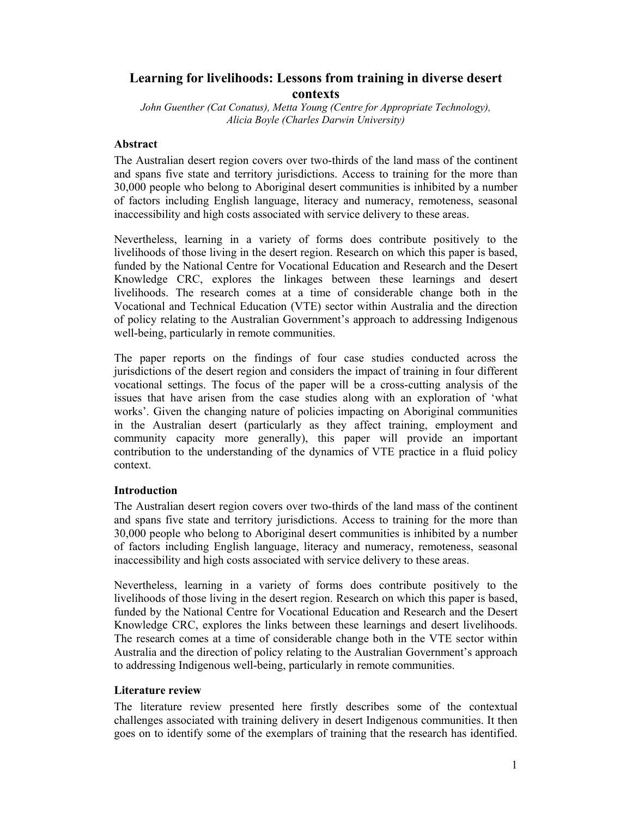# **Learning for livelihoods: Lessons from training in diverse desert contexts**

*John Guenther (Cat Conatus), Metta Young (Centre for Appropriate Technology), Alicia Boyle (Charles Darwin University)* 

# **Abstract**

The Australian desert region covers over two-thirds of the land mass of the continent and spans five state and territory jurisdictions. Access to training for the more than 30,000 people who belong to Aboriginal desert communities is inhibited by a number of factors including English language, literacy and numeracy, remoteness, seasonal inaccessibility and high costs associated with service delivery to these areas.

Nevertheless, learning in a variety of forms does contribute positively to the livelihoods of those living in the desert region. Research on which this paper is based, funded by the National Centre for Vocational Education and Research and the Desert Knowledge CRC, explores the linkages between these learnings and desert livelihoods. The research comes at a time of considerable change both in the Vocational and Technical Education (VTE) sector within Australia and the direction of policy relating to the Australian Government's approach to addressing Indigenous well-being, particularly in remote communities.

The paper reports on the findings of four case studies conducted across the jurisdictions of the desert region and considers the impact of training in four different vocational settings. The focus of the paper will be a cross-cutting analysis of the issues that have arisen from the case studies along with an exploration of 'what works'. Given the changing nature of policies impacting on Aboriginal communities in the Australian desert (particularly as they affect training, employment and community capacity more generally), this paper will provide an important contribution to the understanding of the dynamics of VTE practice in a fluid policy context.

# **Introduction**

The Australian desert region covers over two-thirds of the land mass of the continent and spans five state and territory jurisdictions. Access to training for the more than 30,000 people who belong to Aboriginal desert communities is inhibited by a number of factors including English language, literacy and numeracy, remoteness, seasonal inaccessibility and high costs associated with service delivery to these areas.

Nevertheless, learning in a variety of forms does contribute positively to the livelihoods of those living in the desert region. Research on which this paper is based, funded by the National Centre for Vocational Education and Research and the Desert Knowledge CRC, explores the links between these learnings and desert livelihoods. The research comes at a time of considerable change both in the VTE sector within Australia and the direction of policy relating to the Australian Government's approach to addressing Indigenous well-being, particularly in remote communities.

### **Literature review**

The literature review presented here firstly describes some of the contextual challenges associated with training delivery in desert Indigenous communities. It then goes on to identify some of the exemplars of training that the research has identified.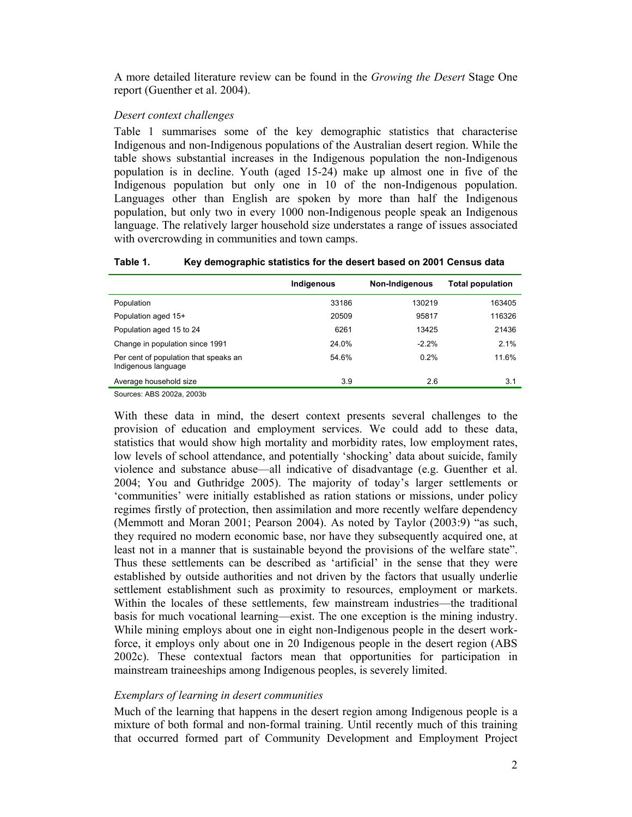A more detailed literature review can be found in the *Growing the Desert* Stage One report (Guenther et al. 2004).

#### *Desert context challenges*

Table 1 summarises some of the key demographic statistics that characterise Indigenous and non-Indigenous populations of the Australian desert region. While the table shows substantial increases in the Indigenous population the non-Indigenous population is in decline. Youth (aged 15-24) make up almost one in five of the Indigenous population but only one in 10 of the non-Indigenous population. Languages other than English are spoken by more than half the Indigenous population, but only two in every 1000 non-Indigenous people speak an Indigenous language. The relatively larger household size understates a range of issues associated with overcrowding in communities and town camps.

#### **Table 1. Key demographic statistics for the desert based on 2001 Census data**

|                                                              | Indigenous | Non-Indigenous | Total population |
|--------------------------------------------------------------|------------|----------------|------------------|
| Population                                                   | 33186      | 130219         | 163405           |
| Population aged 15+                                          | 20509      | 95817          | 116326           |
| Population aged 15 to 24                                     | 6261       | 13425          | 21436            |
| Change in population since 1991                              | 24.0%      | $-2.2%$        | 2.1%             |
| Per cent of population that speaks an<br>Indigenous language | 54.6%      | 0.2%           | 11.6%            |
| Average household size                                       | 3.9        | 2.6            | 3.1              |

Sources: ABS 2002a, 2003b

With these data in mind, the desert context presents several challenges to the provision of education and employment services. We could add to these data, statistics that would show high mortality and morbidity rates, low employment rates, low levels of school attendance, and potentially 'shocking' data about suicide, family violence and substance abuse—all indicative of disadvantage (e.g. Guenther et al. 2004; You and Guthridge 2005). The majority of today's larger settlements or 'communities' were initially established as ration stations or missions, under policy regimes firstly of protection, then assimilation and more recently welfare dependency (Memmott and Moran 2001; Pearson 2004). As noted by Taylor (2003:9) "as such, they required no modern economic base, nor have they subsequently acquired one, at least not in a manner that is sustainable beyond the provisions of the welfare state". Thus these settlements can be described as 'artificial' in the sense that they were established by outside authorities and not driven by the factors that usually underlie settlement establishment such as proximity to resources, employment or markets. Within the locales of these settlements, few mainstream industries—the traditional basis for much vocational learning—exist. The one exception is the mining industry. While mining employs about one in eight non-Indigenous people in the desert workforce, it employs only about one in 20 Indigenous people in the desert region (ABS 2002c). These contextual factors mean that opportunities for participation in mainstream traineeships among Indigenous peoples, is severely limited.

### *Exemplars of learning in desert communities*

Much of the learning that happens in the desert region among Indigenous people is a mixture of both formal and non-formal training. Until recently much of this training that occurred formed part of Community Development and Employment Project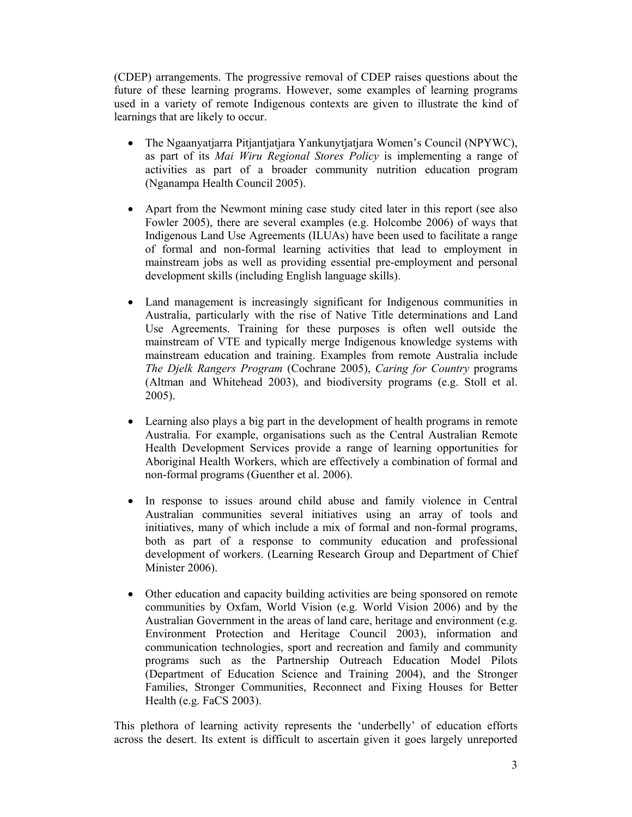(CDEP) arrangements. The progressive removal of CDEP raises questions about the future of these learning programs. However, some examples of learning programs used in a variety of remote Indigenous contexts are given to illustrate the kind of learnings that are likely to occur.

- The Ngaanyatjarra Pitjantjatjara Yankunytjatjara Women's Council (NPYWC), as part of its *Mai Wiru Regional Stores Policy* is implementing a range of activities as part of a broader community nutrition education program (Nganampa Health Council 2005).
- Apart from the Newmont mining case study cited later in this report (see also Fowler 2005), there are several examples (e.g. Holcombe 2006) of ways that Indigenous Land Use Agreements (ILUAs) have been used to facilitate a range of formal and non-formal learning activities that lead to employment in mainstream jobs as well as providing essential pre-employment and personal development skills (including English language skills).
- Land management is increasingly significant for Indigenous communities in Australia, particularly with the rise of Native Title determinations and Land Use Agreements. Training for these purposes is often well outside the mainstream of VTE and typically merge Indigenous knowledge systems with mainstream education and training. Examples from remote Australia include *The Djelk Rangers Program* (Cochrane 2005), *Caring for Country* programs (Altman and Whitehead 2003), and biodiversity programs (e.g. Stoll et al. 2005).
- Learning also plays a big part in the development of health programs in remote Australia. For example, organisations such as the Central Australian Remote Health Development Services provide a range of learning opportunities for Aboriginal Health Workers, which are effectively a combination of formal and non-formal programs (Guenther et al. 2006).
- In response to issues around child abuse and family violence in Central Australian communities several initiatives using an array of tools and initiatives, many of which include a mix of formal and non-formal programs, both as part of a response to community education and professional development of workers. (Learning Research Group and Department of Chief Minister 2006).
- Other education and capacity building activities are being sponsored on remote communities by Oxfam, World Vision (e.g. World Vision 2006) and by the Australian Government in the areas of land care, heritage and environment (e.g. Environment Protection and Heritage Council 2003), information and communication technologies, sport and recreation and family and community programs such as the Partnership Outreach Education Model Pilots (Department of Education Science and Training 2004), and the Stronger Families, Stronger Communities, Reconnect and Fixing Houses for Better Health (e.g. FaCS 2003).

This plethora of learning activity represents the 'underbelly' of education efforts across the desert. Its extent is difficult to ascertain given it goes largely unreported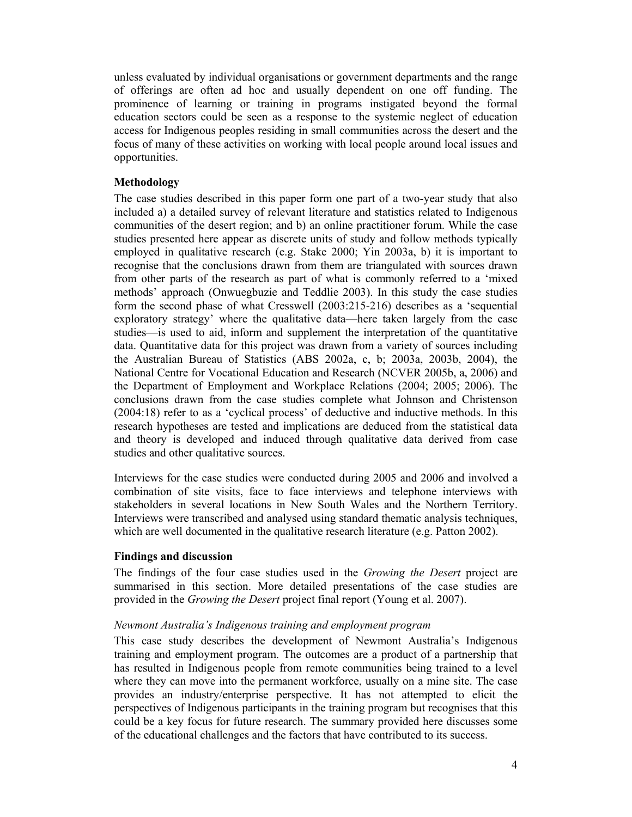unless evaluated by individual organisations or government departments and the range of offerings are often ad hoc and usually dependent on one off funding. The prominence of learning or training in programs instigated beyond the formal education sectors could be seen as a response to the systemic neglect of education access for Indigenous peoples residing in small communities across the desert and the focus of many of these activities on working with local people around local issues and opportunities.

## **Methodology**

The case studies described in this paper form one part of a two-year study that also included a) a detailed survey of relevant literature and statistics related to Indigenous communities of the desert region; and b) an online practitioner forum. While the case studies presented here appear as discrete units of study and follow methods typically employed in qualitative research (e.g. Stake 2000; Yin 2003a, b) it is important to recognise that the conclusions drawn from them are triangulated with sources drawn from other parts of the research as part of what is commonly referred to a 'mixed methods' approach (Onwuegbuzie and Teddlie 2003). In this study the case studies form the second phase of what Cresswell (2003:215-216) describes as a 'sequential exploratory strategy' where the qualitative data—here taken largely from the case studies—is used to aid, inform and supplement the interpretation of the quantitative data. Quantitative data for this project was drawn from a variety of sources including the Australian Bureau of Statistics (ABS 2002a, c, b; 2003a, 2003b, 2004), the National Centre for Vocational Education and Research (NCVER 2005b, a, 2006) and the Department of Employment and Workplace Relations (2004; 2005; 2006). The conclusions drawn from the case studies complete what Johnson and Christenson (2004:18) refer to as a 'cyclical process' of deductive and inductive methods. In this research hypotheses are tested and implications are deduced from the statistical data and theory is developed and induced through qualitative data derived from case studies and other qualitative sources.

Interviews for the case studies were conducted during 2005 and 2006 and involved a combination of site visits, face to face interviews and telephone interviews with stakeholders in several locations in New South Wales and the Northern Territory. Interviews were transcribed and analysed using standard thematic analysis techniques, which are well documented in the qualitative research literature (e.g. Patton 2002).

### **Findings and discussion**

The findings of the four case studies used in the *Growing the Desert* project are summarised in this section. More detailed presentations of the case studies are provided in the *Growing the Desert* project final report (Young et al. 2007).

### *Newmont Australia's Indigenous training and employment program*

This case study describes the development of Newmont Australia's Indigenous training and employment program. The outcomes are a product of a partnership that has resulted in Indigenous people from remote communities being trained to a level where they can move into the permanent workforce, usually on a mine site. The case provides an industry/enterprise perspective. It has not attempted to elicit the perspectives of Indigenous participants in the training program but recognises that this could be a key focus for future research. The summary provided here discusses some of the educational challenges and the factors that have contributed to its success.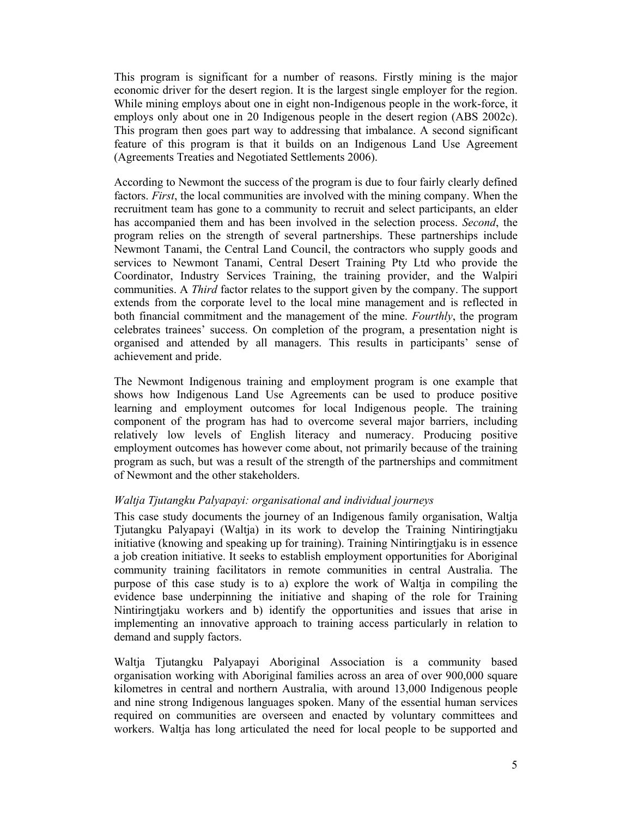This program is significant for a number of reasons. Firstly mining is the major economic driver for the desert region. It is the largest single employer for the region. While mining employs about one in eight non-Indigenous people in the work-force, it employs only about one in 20 Indigenous people in the desert region (ABS 2002c). This program then goes part way to addressing that imbalance. A second significant feature of this program is that it builds on an Indigenous Land Use Agreement (Agreements Treaties and Negotiated Settlements 2006).

According to Newmont the success of the program is due to four fairly clearly defined factors. *First*, the local communities are involved with the mining company. When the recruitment team has gone to a community to recruit and select participants, an elder has accompanied them and has been involved in the selection process. *Second*, the program relies on the strength of several partnerships. These partnerships include Newmont Tanami, the Central Land Council, the contractors who supply goods and services to Newmont Tanami, Central Desert Training Pty Ltd who provide the Coordinator, Industry Services Training, the training provider, and the Walpiri communities. A *Third* factor relates to the support given by the company. The support extends from the corporate level to the local mine management and is reflected in both financial commitment and the management of the mine. *Fourthly*, the program celebrates trainees' success. On completion of the program, a presentation night is organised and attended by all managers. This results in participants' sense of achievement and pride.

The Newmont Indigenous training and employment program is one example that shows how Indigenous Land Use Agreements can be used to produce positive learning and employment outcomes for local Indigenous people. The training component of the program has had to overcome several major barriers, including relatively low levels of English literacy and numeracy. Producing positive employment outcomes has however come about, not primarily because of the training program as such, but was a result of the strength of the partnerships and commitment of Newmont and the other stakeholders.

# *Waltja Tjutangku Palyapayi: organisational and individual journeys*

This case study documents the journey of an Indigenous family organisation, Waltja Tjutangku Palyapayi (Waltja) in its work to develop the Training Nintiringtjaku initiative (knowing and speaking up for training). Training Nintiringtjaku is in essence a job creation initiative. It seeks to establish employment opportunities for Aboriginal community training facilitators in remote communities in central Australia. The purpose of this case study is to a) explore the work of Waltja in compiling the evidence base underpinning the initiative and shaping of the role for Training Nintiringtjaku workers and b) identify the opportunities and issues that arise in implementing an innovative approach to training access particularly in relation to demand and supply factors.

Waltja Tjutangku Palyapayi Aboriginal Association is a community based organisation working with Aboriginal families across an area of over 900,000 square kilometres in central and northern Australia, with around 13,000 Indigenous people and nine strong Indigenous languages spoken. Many of the essential human services required on communities are overseen and enacted by voluntary committees and workers. Waltja has long articulated the need for local people to be supported and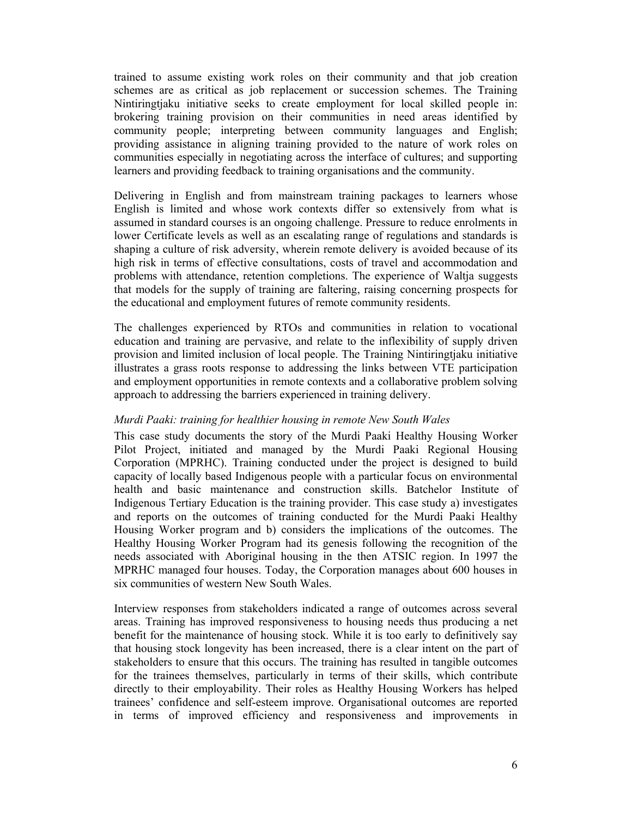trained to assume existing work roles on their community and that job creation schemes are as critical as job replacement or succession schemes. The Training Nintiringtjaku initiative seeks to create employment for local skilled people in: brokering training provision on their communities in need areas identified by community people; interpreting between community languages and English; providing assistance in aligning training provided to the nature of work roles on communities especially in negotiating across the interface of cultures; and supporting learners and providing feedback to training organisations and the community.

Delivering in English and from mainstream training packages to learners whose English is limited and whose work contexts differ so extensively from what is assumed in standard courses is an ongoing challenge. Pressure to reduce enrolments in lower Certificate levels as well as an escalating range of regulations and standards is shaping a culture of risk adversity, wherein remote delivery is avoided because of its high risk in terms of effective consultations, costs of travel and accommodation and problems with attendance, retention completions. The experience of Waltja suggests that models for the supply of training are faltering, raising concerning prospects for the educational and employment futures of remote community residents.

The challenges experienced by RTOs and communities in relation to vocational education and training are pervasive, and relate to the inflexibility of supply driven provision and limited inclusion of local people. The Training Nintiringtjaku initiative illustrates a grass roots response to addressing the links between VTE participation and employment opportunities in remote contexts and a collaborative problem solving approach to addressing the barriers experienced in training delivery.

#### *Murdi Paaki: training for healthier housing in remote New South Wales*

This case study documents the story of the Murdi Paaki Healthy Housing Worker Pilot Project, initiated and managed by the Murdi Paaki Regional Housing Corporation (MPRHC). Training conducted under the project is designed to build capacity of locally based Indigenous people with a particular focus on environmental health and basic maintenance and construction skills. Batchelor Institute of Indigenous Tertiary Education is the training provider. This case study a) investigates and reports on the outcomes of training conducted for the Murdi Paaki Healthy Housing Worker program and b) considers the implications of the outcomes. The Healthy Housing Worker Program had its genesis following the recognition of the needs associated with Aboriginal housing in the then ATSIC region. In 1997 the MPRHC managed four houses. Today, the Corporation manages about 600 houses in six communities of western New South Wales.

Interview responses from stakeholders indicated a range of outcomes across several areas. Training has improved responsiveness to housing needs thus producing a net benefit for the maintenance of housing stock. While it is too early to definitively say that housing stock longevity has been increased, there is a clear intent on the part of stakeholders to ensure that this occurs. The training has resulted in tangible outcomes for the trainees themselves, particularly in terms of their skills, which contribute directly to their employability. Their roles as Healthy Housing Workers has helped trainees' confidence and self-esteem improve. Organisational outcomes are reported in terms of improved efficiency and responsiveness and improvements in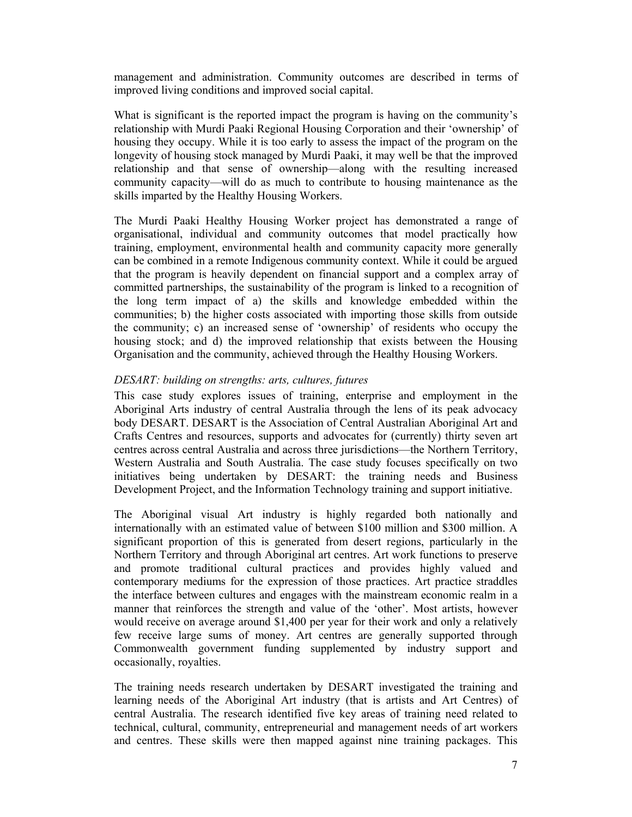management and administration. Community outcomes are described in terms of improved living conditions and improved social capital.

What is significant is the reported impact the program is having on the community's relationship with Murdi Paaki Regional Housing Corporation and their 'ownership' of housing they occupy. While it is too early to assess the impact of the program on the longevity of housing stock managed by Murdi Paaki, it may well be that the improved relationship and that sense of ownership—along with the resulting increased community capacity—will do as much to contribute to housing maintenance as the skills imparted by the Healthy Housing Workers.

The Murdi Paaki Healthy Housing Worker project has demonstrated a range of organisational, individual and community outcomes that model practically how training, employment, environmental health and community capacity more generally can be combined in a remote Indigenous community context. While it could be argued that the program is heavily dependent on financial support and a complex array of committed partnerships, the sustainability of the program is linked to a recognition of the long term impact of a) the skills and knowledge embedded within the communities; b) the higher costs associated with importing those skills from outside the community; c) an increased sense of 'ownership' of residents who occupy the housing stock; and d) the improved relationship that exists between the Housing Organisation and the community, achieved through the Healthy Housing Workers.

# *DESART: building on strengths: arts, cultures, futures*

This case study explores issues of training, enterprise and employment in the Aboriginal Arts industry of central Australia through the lens of its peak advocacy body DESART. DESART is the Association of Central Australian Aboriginal Art and Crafts Centres and resources, supports and advocates for (currently) thirty seven art centres across central Australia and across three jurisdictions—the Northern Territory, Western Australia and South Australia. The case study focuses specifically on two initiatives being undertaken by DESART: the training needs and Business Development Project, and the Information Technology training and support initiative.

The Aboriginal visual Art industry is highly regarded both nationally and internationally with an estimated value of between \$100 million and \$300 million. A significant proportion of this is generated from desert regions, particularly in the Northern Territory and through Aboriginal art centres. Art work functions to preserve and promote traditional cultural practices and provides highly valued and contemporary mediums for the expression of those practices. Art practice straddles the interface between cultures and engages with the mainstream economic realm in a manner that reinforces the strength and value of the 'other'. Most artists, however would receive on average around \$1,400 per year for their work and only a relatively few receive large sums of money. Art centres are generally supported through Commonwealth government funding supplemented by industry support and occasionally, royalties.

The training needs research undertaken by DESART investigated the training and learning needs of the Aboriginal Art industry (that is artists and Art Centres) of central Australia. The research identified five key areas of training need related to technical, cultural, community, entrepreneurial and management needs of art workers and centres. These skills were then mapped against nine training packages. This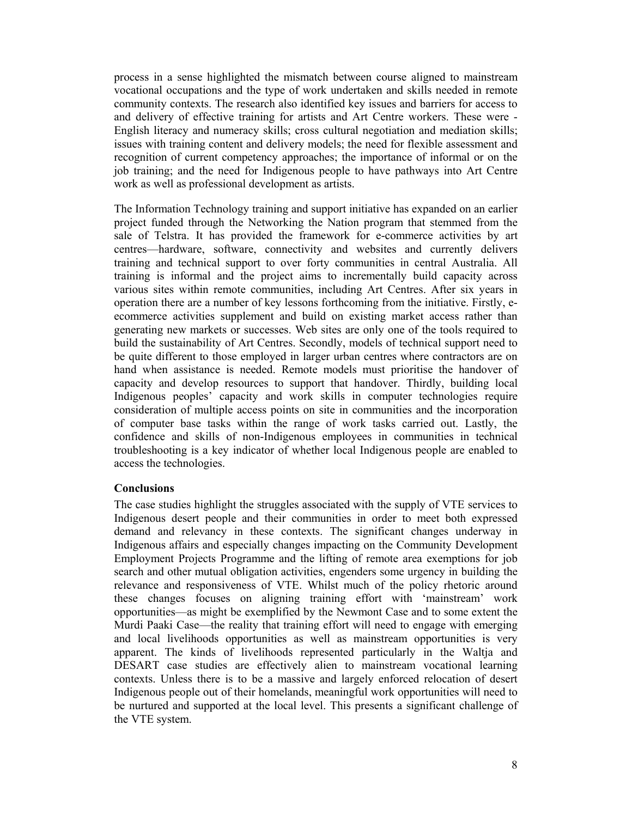process in a sense highlighted the mismatch between course aligned to mainstream vocational occupations and the type of work undertaken and skills needed in remote community contexts. The research also identified key issues and barriers for access to and delivery of effective training for artists and Art Centre workers. These were - English literacy and numeracy skills; cross cultural negotiation and mediation skills; issues with training content and delivery models; the need for flexible assessment and recognition of current competency approaches; the importance of informal or on the job training; and the need for Indigenous people to have pathways into Art Centre work as well as professional development as artists.

The Information Technology training and support initiative has expanded on an earlier project funded through the Networking the Nation program that stemmed from the sale of Telstra. It has provided the framework for e-commerce activities by art centres—hardware, software, connectivity and websites and currently delivers training and technical support to over forty communities in central Australia. All training is informal and the project aims to incrementally build capacity across various sites within remote communities, including Art Centres. After six years in operation there are a number of key lessons forthcoming from the initiative. Firstly, eecommerce activities supplement and build on existing market access rather than generating new markets or successes. Web sites are only one of the tools required to build the sustainability of Art Centres. Secondly, models of technical support need to be quite different to those employed in larger urban centres where contractors are on hand when assistance is needed. Remote models must prioritise the handover of capacity and develop resources to support that handover. Thirdly, building local Indigenous peoples' capacity and work skills in computer technologies require consideration of multiple access points on site in communities and the incorporation of computer base tasks within the range of work tasks carried out. Lastly, the confidence and skills of non-Indigenous employees in communities in technical troubleshooting is a key indicator of whether local Indigenous people are enabled to access the technologies.

### **Conclusions**

The case studies highlight the struggles associated with the supply of VTE services to Indigenous desert people and their communities in order to meet both expressed demand and relevancy in these contexts. The significant changes underway in Indigenous affairs and especially changes impacting on the Community Development Employment Projects Programme and the lifting of remote area exemptions for job search and other mutual obligation activities, engenders some urgency in building the relevance and responsiveness of VTE. Whilst much of the policy rhetoric around these changes focuses on aligning training effort with 'mainstream' work opportunities—as might be exemplified by the Newmont Case and to some extent the Murdi Paaki Case—the reality that training effort will need to engage with emerging and local livelihoods opportunities as well as mainstream opportunities is very apparent. The kinds of livelihoods represented particularly in the Waltja and DESART case studies are effectively alien to mainstream vocational learning contexts. Unless there is to be a massive and largely enforced relocation of desert Indigenous people out of their homelands, meaningful work opportunities will need to be nurtured and supported at the local level. This presents a significant challenge of the VTE system.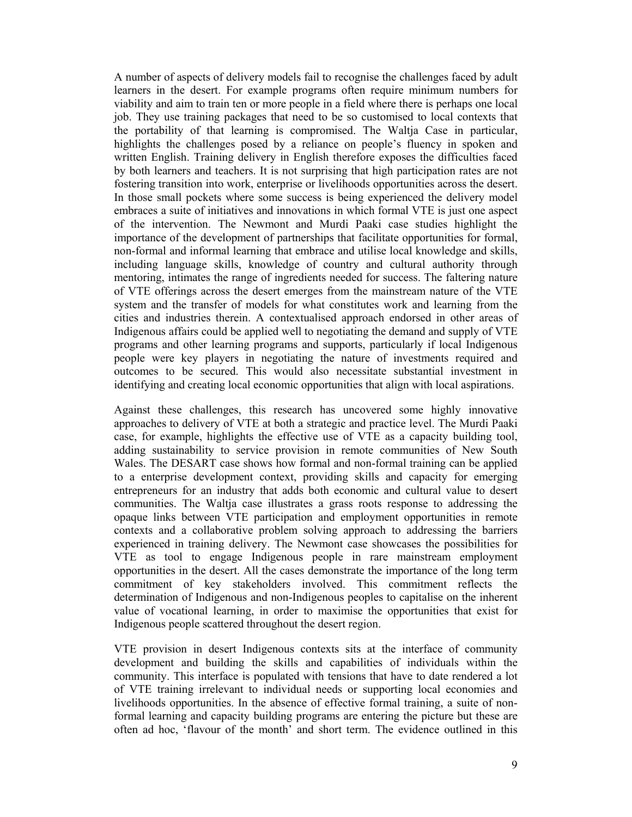A number of aspects of delivery models fail to recognise the challenges faced by adult learners in the desert. For example programs often require minimum numbers for viability and aim to train ten or more people in a field where there is perhaps one local job. They use training packages that need to be so customised to local contexts that the portability of that learning is compromised. The Waltja Case in particular, highlights the challenges posed by a reliance on people's fluency in spoken and written English. Training delivery in English therefore exposes the difficulties faced by both learners and teachers. It is not surprising that high participation rates are not fostering transition into work, enterprise or livelihoods opportunities across the desert. In those small pockets where some success is being experienced the delivery model embraces a suite of initiatives and innovations in which formal VTE is just one aspect of the intervention. The Newmont and Murdi Paaki case studies highlight the importance of the development of partnerships that facilitate opportunities for formal, non-formal and informal learning that embrace and utilise local knowledge and skills, including language skills, knowledge of country and cultural authority through mentoring, intimates the range of ingredients needed for success. The faltering nature of VTE offerings across the desert emerges from the mainstream nature of the VTE system and the transfer of models for what constitutes work and learning from the cities and industries therein. A contextualised approach endorsed in other areas of Indigenous affairs could be applied well to negotiating the demand and supply of VTE programs and other learning programs and supports, particularly if local Indigenous people were key players in negotiating the nature of investments required and outcomes to be secured. This would also necessitate substantial investment in identifying and creating local economic opportunities that align with local aspirations.

Against these challenges, this research has uncovered some highly innovative approaches to delivery of VTE at both a strategic and practice level. The Murdi Paaki case, for example, highlights the effective use of VTE as a capacity building tool, adding sustainability to service provision in remote communities of New South Wales. The DESART case shows how formal and non-formal training can be applied to a enterprise development context, providing skills and capacity for emerging entrepreneurs for an industry that adds both economic and cultural value to desert communities. The Waltja case illustrates a grass roots response to addressing the opaque links between VTE participation and employment opportunities in remote contexts and a collaborative problem solving approach to addressing the barriers experienced in training delivery. The Newmont case showcases the possibilities for VTE as tool to engage Indigenous people in rare mainstream employment opportunities in the desert. All the cases demonstrate the importance of the long term commitment of key stakeholders involved. This commitment reflects the determination of Indigenous and non-Indigenous peoples to capitalise on the inherent value of vocational learning, in order to maximise the opportunities that exist for Indigenous people scattered throughout the desert region.

VTE provision in desert Indigenous contexts sits at the interface of community development and building the skills and capabilities of individuals within the community. This interface is populated with tensions that have to date rendered a lot of VTE training irrelevant to individual needs or supporting local economies and livelihoods opportunities. In the absence of effective formal training, a suite of nonformal learning and capacity building programs are entering the picture but these are often ad hoc, 'flavour of the month' and short term. The evidence outlined in this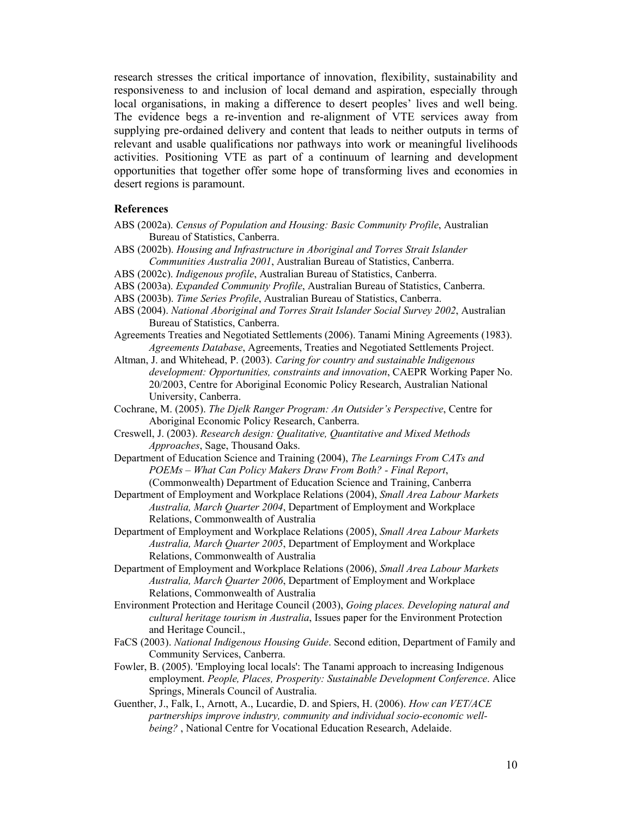research stresses the critical importance of innovation, flexibility, sustainability and responsiveness to and inclusion of local demand and aspiration, especially through local organisations, in making a difference to desert peoples' lives and well being. The evidence begs a re-invention and re-alignment of VTE services away from supplying pre-ordained delivery and content that leads to neither outputs in terms of relevant and usable qualifications nor pathways into work or meaningful livelihoods activities. Positioning VTE as part of a continuum of learning and development opportunities that together offer some hope of transforming lives and economies in desert regions is paramount.

#### **References**

- ABS (2002a). *Census of Population and Housing: Basic Community Profile*, Australian Bureau of Statistics, Canberra.
- ABS (2002b). *Housing and Infrastructure in Aboriginal and Torres Strait Islander Communities Australia 2001*, Australian Bureau of Statistics, Canberra.
- ABS (2002c). *Indigenous profile*, Australian Bureau of Statistics, Canberra.
- ABS (2003a). *Expanded Community Profile*, Australian Bureau of Statistics, Canberra.
- ABS (2003b). *Time Series Profile*, Australian Bureau of Statistics, Canberra.
- ABS (2004). *National Aboriginal and Torres Strait Islander Social Survey 2002*, Australian Bureau of Statistics, Canberra.
- Agreements Treaties and Negotiated Settlements (2006). Tanami Mining Agreements (1983). *Agreements Database*, Agreements, Treaties and Negotiated Settlements Project.
- Altman, J. and Whitehead, P. (2003). *Caring for country and sustainable Indigenous development: Opportunities, constraints and innovation*, CAEPR Working Paper No. 20/2003, Centre for Aboriginal Economic Policy Research, Australian National University, Canberra.
- Cochrane, M. (2005). *The Djelk Ranger Program: An Outsider's Perspective*, Centre for Aboriginal Economic Policy Research, Canberra.
- Creswell, J. (2003). *Research design: Qualitative, Quantitative and Mixed Methods Approaches*, Sage, Thousand Oaks.
- Department of Education Science and Training (2004), *The Learnings From CATs and POEMs – What Can Policy Makers Draw From Both? - Final Report*,
- (Commonwealth) Department of Education Science and Training, Canberra Department of Employment and Workplace Relations (2004), *Small Area Labour Markets Australia, March Quarter 2004*, Department of Employment and Workplace
- Relations, Commonwealth of Australia Department of Employment and Workplace Relations (2005), *Small Area Labour Markets Australia, March Quarter 2005*, Department of Employment and Workplace
- Relations, Commonwealth of Australia Department of Employment and Workplace Relations (2006), *Small Area Labour Markets*
- *Australia, March Quarter 2006*, Department of Employment and Workplace Relations, Commonwealth of Australia
- Environment Protection and Heritage Council (2003), *Going places. Developing natural and cultural heritage tourism in Australia*, Issues paper for the Environment Protection and Heritage Council.,
- FaCS (2003). *National Indigenous Housing Guide*. Second edition, Department of Family and Community Services, Canberra.
- Fowler, B. (2005). 'Employing local locals': The Tanami approach to increasing Indigenous employment. *People, Places, Prosperity: Sustainable Development Conference*. Alice Springs, Minerals Council of Australia.
- Guenther, J., Falk, I., Arnott, A., Lucardie, D. and Spiers, H. (2006). *How can VET/ACE partnerships improve industry, community and individual socio-economic wellbeing?* , National Centre for Vocational Education Research, Adelaide.